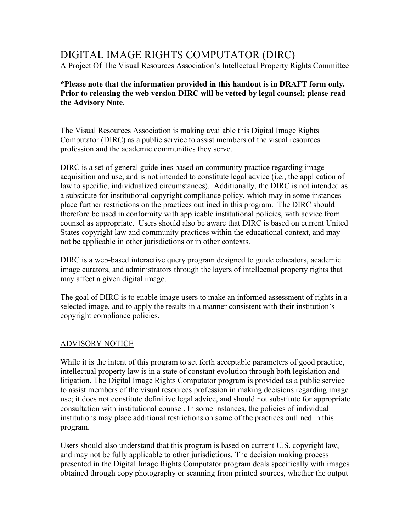# DIGITAL IMAGE RIGHTS COMPUTATOR (DIRC)

A Project Of The Visual Resources Association's Intellectual Property Rights Committee

**\*Please note that the information provided in this handout is in DRAFT form only. Prior to releasing the web version DIRC will be vetted by legal counsel; please read the Advisory Note.**

The Visual Resources Association is making available this Digital Image Rights Computator (DIRC) as a public service to assist members of the visual resources profession and the academic communities they serve.

DIRC is a set of general guidelines based on community practice regarding image acquisition and use, and is not intended to constitute legal advice (i.e., the application of law to specific, individualized circumstances). Additionally, the DIRC is not intended as a substitute for institutional copyright compliance policy, which may in some instances place further restrictions on the practices outlined in this program. The DIRC should therefore be used in conformity with applicable institutional policies, with advice from counsel as appropriate. Users should also be aware that DIRC is based on current United States copyright law and community practices within the educational context, and may not be applicable in other jurisdictions or in other contexts.

DIRC is a web-based interactive query program designed to guide educators, academic image curators, and administrators through the layers of intellectual property rights that may affect a given digital image.

The goal of DIRC is to enable image users to make an informed assessment of rights in a selected image, and to apply the results in a manner consistent with their institution's copyright compliance policies.

## ADVISORY NOTICE

While it is the intent of this program to set forth acceptable parameters of good practice, intellectual property law is in a state of constant evolution through both legislation and litigation. The Digital Image Rights Computator program is provided as a public service to assist members of the visual resources profession in making decisions regarding image use; it does not constitute definitive legal advice, and should not substitute for appropriate consultation with institutional counsel. In some instances, the policies of individual institutions may place additional restrictions on some of the practices outlined in this program.

Users should also understand that this program is based on current U.S. copyright law, and may not be fully applicable to other jurisdictions. The decision making process presented in the Digital Image Rights Computator program deals specifically with images obtained through copy photography or scanning from printed sources, whether the output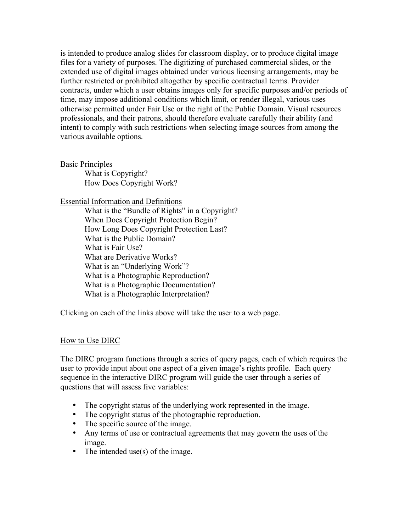is intended to produce analog slides for classroom display, or to produce digital image files for a variety of purposes. The digitizing of purchased commercial slides, or the extended use of digital images obtained under various licensing arrangements, may be further restricted or prohibited altogether by specific contractual terms. Provider contracts, under which a user obtains images only for specific purposes and/or periods of time, may impose additional conditions which limit, or render illegal, various uses otherwise permitted under Fair Use or the right of the Public Domain. Visual resources professionals, and their patrons, should therefore evaluate carefully their ability (and intent) to comply with such restrictions when selecting image sources from among the various available options.

Basic Principles

What is Copyright? How Does Copyright Work?

#### Essential Information and Definitions

What is the "Bundle of Rights" in a Copyright? When Does Copyright Protection Begin? How Long Does Copyright Protection Last? What is the Public Domain? What is Fair Use? What are Derivative Works? What is an "Underlying Work"? What is a Photographic Reproduction? What is a Photographic Documentation? What is a Photographic Interpretation?

Clicking on each of the links above will take the user to a web page.

## How to Use DIRC

The DIRC program functions through a series of query pages, each of which requires the user to provide input about one aspect of a given image's rights profile. Each query sequence in the interactive DIRC program will guide the user through a series of questions that will assess five variables:

- The copyright status of the underlying work represented in the image.
- The copyright status of the photographic reproduction.
- The specific source of the image.
- Any terms of use or contractual agreements that may govern the uses of the image.
- The intended use(s) of the image.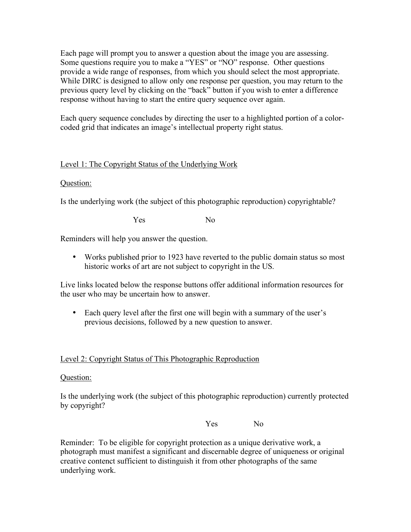Each page will prompt you to answer a question about the image you are assessing. Some questions require you to make a "YES" or "NO" response. Other questions provide a wide range of responses, from which you should select the most appropriate. While DIRC is designed to allow only one response per question, you may return to the previous query level by clicking on the "back" button if you wish to enter a difference response without having to start the entire query sequence over again.

Each query sequence concludes by directing the user to a highlighted portion of a colorcoded grid that indicates an image's intellectual property right status.

# Level 1: The Copyright Status of the Underlying Work

## Question:

Is the underlying work (the subject of this photographic reproduction) copyrightable?

Yes No

Reminders will help you answer the question.

• Works published prior to 1923 have reverted to the public domain status so most historic works of art are not subject to copyright in the US.

Live links located below the response buttons offer additional information resources for the user who may be uncertain how to answer.

• Each query level after the first one will begin with a summary of the user's previous decisions, followed by a new question to answer.

## Level 2: Copyright Status of This Photographic Reproduction

## Question:

Is the underlying work (the subject of this photographic reproduction) currently protected by copyright?

Yes No

Reminder: To be eligible for copyright protection as a unique derivative work, a photograph must manifest a significant and discernable degree of uniqueness or original creative contenct sufficient to distinguish it from other photographs of the same underlying work.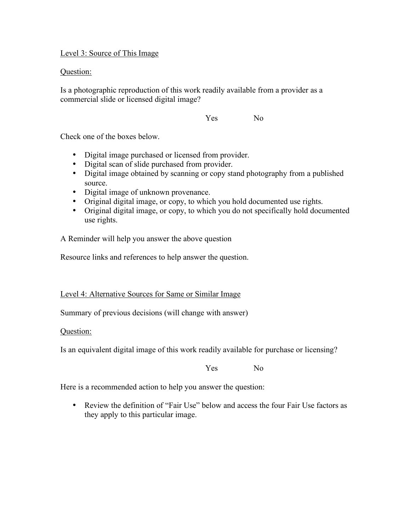Level 3: Source of This Image

Question:

Is a photographic reproduction of this work readily available from a provider as a commercial slide or licensed digital image?

Yes No

Check one of the boxes below.

- Digital image purchased or licensed from provider.
- Digital scan of slide purchased from provider.
- Digital image obtained by scanning or copy stand photography from a published source.
- Digital image of unknown provenance.
- Original digital image, or copy, to which you hold documented use rights.
- Original digital image, or copy, to which you do not specifically hold documented use rights.

A Reminder will help you answer the above question

Resource links and references to help answer the question.

Level 4: Alternative Sources for Same or Similar Image

Summary of previous decisions (will change with answer)

Question:

Is an equivalent digital image of this work readily available for purchase or licensing?

Yes No

Here is a recommended action to help you answer the question:

• Review the definition of "Fair Use" below and access the four Fair Use factors as they apply to this particular image.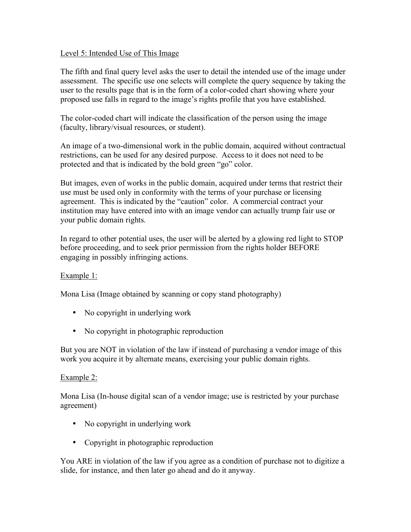#### Level 5: Intended Use of This Image

The fifth and final query level asks the user to detail the intended use of the image under assessment. The specific use one selects will complete the query sequence by taking the user to the results page that is in the form of a color-coded chart showing where your proposed use falls in regard to the image's rights profile that you have established.

The color-coded chart will indicate the classification of the person using the image (faculty, library/visual resources, or student).

An image of a two-dimensional work in the public domain, acquired without contractual restrictions, can be used for any desired purpose. Access to it does not need to be protected and that is indicated by the bold green "go" color.

But images, even of works in the public domain, acquired under terms that restrict their use must be used only in conformity with the terms of your purchase or licensing agreement. This is indicated by the "caution" color. A commercial contract your institution may have entered into with an image vendor can actually trump fair use or your public domain rights.

In regard to other potential uses, the user will be alerted by a glowing red light to STOP before proceeding, and to seek prior permission from the rights holder BEFORE engaging in possibly infringing actions.

## Example 1:

Mona Lisa (Image obtained by scanning or copy stand photography)

- No copyright in underlying work
- No copyright in photographic reproduction

But you are NOT in violation of the law if instead of purchasing a vendor image of this work you acquire it by alternate means, exercising your public domain rights.

## Example 2:

Mona Lisa (In-house digital scan of a vendor image; use is restricted by your purchase agreement)

- No copyright in underlying work
- Copyright in photographic reproduction

You ARE in violation of the law if you agree as a condition of purchase not to digitize a slide, for instance, and then later go ahead and do it anyway.